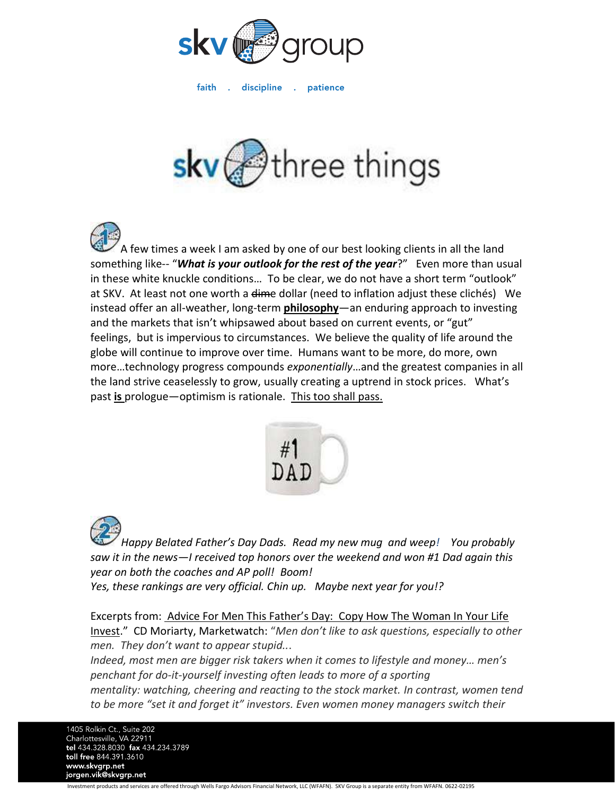

faith . discipline . patience



A few times a week I am asked by one of our best looking clients in all the land something like-- "*What is your outlook for the rest of the year*?" Even more than usual in these white knuckle conditions… To be clear, we do not have a short term "outlook" at SKV. At least not one worth a dime dollar (need to inflation adjust these clichés) We instead offer an all-weather, long-term **philosophy**—an enduring approach to investing and the markets that isn't whipsawed about based on current events, or "gut" feelings, but is impervious to circumstances. We believe the quality of life around the globe will continue to improve over time. Humans want to be more, do more, own more…technology progress compounds *exponentially*…and the greatest companies in all the land strive ceaselessly to grow, usually creating a uptrend in stock prices. What's past **is** prologue—optimism is rationale. This too shall pass.



*Happy Belated Father's Day Dads. Read my new mug and weep! You probably saw it in the news—I received top honors over the weekend and won #1 Dad again this year on both the coaches and AP poll! Boom! Yes, these rankings are very official. Chin up. Maybe next year for you!?*

Excerpts from: Advice For Men This Father's Day: Copy How The Woman In Your Life Invest." CD Moriarty, Marketwatch: "*Men don't like to ask questions, especially to other men. They don't want to appear stupid..*.

*Indeed, most men are bigger risk takers when it comes to lifestyle and money… men's penchant for do-it-yourself investing often leads to more of a sporting mentality: watching, cheering and reacting to the stock market. In contrast, women tend to be more "set it and forget it" investors. Even women money managers switch their* 

1405 Rolkin Ct., Suite 202 Charlottesville, VA 22911 tel 434.328.8030 fax 434.234.3789 toll free 844.391.3610 www.skvgrp.net jorgen.vik@skvgrp.net

Investment products and services are offered through Wells Fargo Advisors Financial Network, LLC (WFAFN). SKV Group is a separate entity from WFAFN. 0622-02195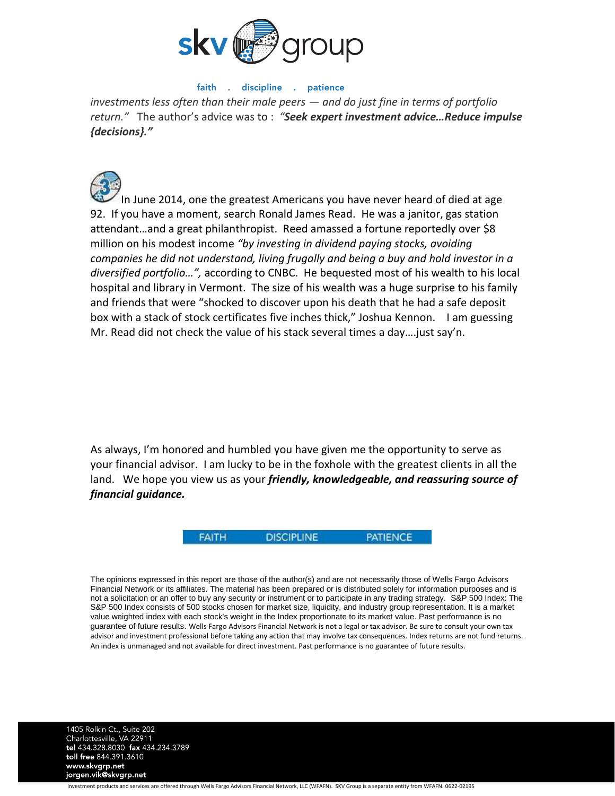

## faith . discipline . patience

*investments less often than their male peers — and do just fine in terms of portfolio return."* The author's advice was to : *"Seek expert investment advice…Reduce impulse {decisions}."*



In June 2014, one the greatest Americans you have never heard of died at age 92. If you have a moment, search Ronald James Read. He was a janitor, gas station attendant…and a great philanthropist. Reed amassed a fortune reportedly over \$8 million on his modest income *"by investing in dividend paying stocks, avoiding companies he did not understand, living frugally and being a buy and hold investor in a diversified portfolio…",* according to CNBC. He bequested most of his wealth to his local hospital and library in Vermont. The size of his wealth was a huge surprise to his family and friends that were "shocked to discover upon his death that he had a safe deposit box with a stack of stock certificates five inches thick," Joshua Kennon. I am guessing Mr. Read did not check the value of his stack several times a day….just say'n.

As always, I'm honored and humbled you have given me the opportunity to serve as your financial advisor. I am lucky to be in the foxhole with the greatest clients in all the land. We hope you view us as your *friendly, knowledgeable, and reassuring source of financial guidance.*



The opinions expressed in this report are those of the author(s) and are not necessarily those of Wells Fargo Advisors Financial Network or its affiliates. The material has been prepared or is distributed solely for information purposes and is not a solicitation or an offer to buy any security or instrument or to participate in any trading strategy. S&P 500 Index: The S&P 500 Index consists of 500 stocks chosen for market size, liquidity, and industry group representation. It is a market value weighted index with each stock's weight in the Index proportionate to its market value. Past performance is no guarantee of future results. Wells Fargo Advisors Financial Network is not a legal or tax advisor. Be sure to consult your own tax advisor and investment professional before taking any action that may involve tax consequences. Index returns are not fund returns. An index is unmanaged and not available for direct investment. Past performance is no guarantee of future results.

1405 Rolkin Ct., Suite 202 Charlottesville, VA 22911<br>tel 434.328.8030 fax 434.234.3789 toll free 844.391.3610 www.skvgrp.net jorgen.vik@skvgrp.net

Investment products and services are offered through Wells Fargo Advisors Financial Network, LLC (WFAFN). SKV Group is a separate entity from WFAFN. 0622-02195